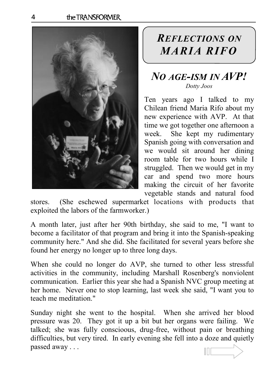

## REFLECTIONS ON MARIA RIFO

## NO AGE-ISM IN AVP! Dotty Joos

 $\overline{a}$ 

Ten years ago I talked to my Chilean friend Maria Rifo about my new experience with AVP. At that time we got together one afternoon a week. She kept my rudimentary Spanish going with conversation and we would sit around her dining room table for two hours while I struggled. Then we would get in my car and spend two more hours making the circuit of her favorite vegetable stands and natural food

stores. (She eschewed supermarket locations with products that exploited the labors of the farmworker.)

A month later, just after her 90th birthday, she said to me, "I want to become a facilitator of that program and bring it into the Spanish-speaking community here." And she did. She facilitated for several years before she found her energy no longer up to three long days.

When she could no longer do AVP, she turned to other less stressful activities in the community, including Marshall Rosenberg's nonviolent communication. Earlier this year she had a Spanish NVC group meeting at her home. Never one to stop learning, last week she said, "I want you to teach me meditation."

Sunday night she went to the hospital. When she arrived her blood pressure was 20. They got it up a bit but her organs were failing. We talked; she was fully conscioous, drug-free, without pain or breathing difficulties, but very tired. In early evening she fell into a doze and quietly passed away . . .